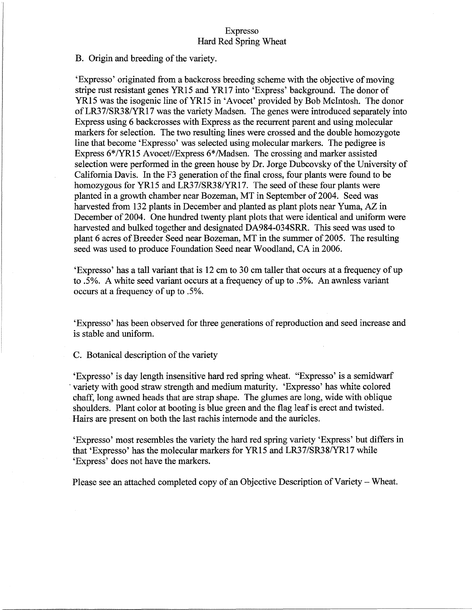## Expresso Hard Red Spring Wheat

### B. Origin and breeding of the variety.

'Expresso' originated from a backcross breeding scheme with the objective of moving stripe rust resistant genes YR15 and YR17 into 'Express' background. The donor of YR15 was the isogenic line of YR15 in 'Avocet' provided by Bob McIntosh. The donor ofLR37/SR38/YR17 was the variety Madsen. The genes were introduced separately into Express using 6 backcrosses with Express as the recurrent parent and using molecular markers for selection. The two resulting lines were crossed and the double homozygote line that become 'Expresso' was selected using molecular markers. The pedigree is Express 6\*/YRI5 Avocet//Express 6\*/Madsen. The crossing and marker assisted selection were performed in the green house by Dr. Jorge Dubcovsky of the University of California Davis. In the F3 generation of the final cross, four plants were found to be homozygous for YR15 and LR37/SR38/YR17. The seed of these four plants were planted in a growth chamber near Bozeman, MT in September of 2004. Seed was harvested from 132 plants in December and planted as plant plots near Yuma, AZ in December of 2004. One hundred twenty plant plots that were identical and uniform were harvested and bulked together and designated DA984-034SRR. This seed was used to plant 6 acres of Breeder Seed near Bozeman, MT in the summer of 2005. The resulting seed was used to produce Foundation Seed near Woodland, CA in 2006.

'Expresso' has a tall variant that is 12 em to 30 em taller that occurs at a frequency ofup to .5%. A white seed variant occurs at a frequency of up to .5%. An awnless variant occurs at a frequency of up to .5%.

'Expresso' has been observed for three generations of reproduction and seed increase and is stable and uniform.

C. Botanical description of the variety

'Expresso' is day length insensitive hard red spring wheat. "Expresso' is a semidwarf variety with good straw strength and medium maturity. 'Expresso' has white colored chaff, long awned heads that are strap shape. The glumes are long, wide with oblique shoulders. Plant color at booting is blue green and the flag leafis erect and twisted. Hairs are present on both the last rachis internode and the auricles.

'Expresso' most resembles the variety the hard red spring variety 'Express' but differs in that 'Expresso' has the molecular markers for YR15 and LR37/SR38/YRI7 while 'Express' does not have the markers.

Please see an attached completed copy of an Objective Description of Variety – Wheat.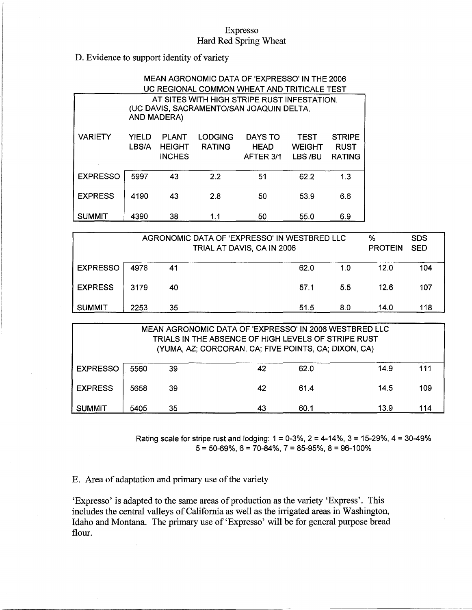# Expresso Hard Red Spring Wheat

# D. Evidence to support identity of variety

| MEAN AGRONOMIC DATA OF 'EXPRESSO' IN THE 2006 |                                                                                                               |                                                |                                 |                                     |                                         |                                               |  |  |
|-----------------------------------------------|---------------------------------------------------------------------------------------------------------------|------------------------------------------------|---------------------------------|-------------------------------------|-----------------------------------------|-----------------------------------------------|--|--|
| UC REGIONAL COMMON WHEAT AND TRITICALE TEST   |                                                                                                               |                                                |                                 |                                     |                                         |                                               |  |  |
|                                               | AT SITES WITH HIGH STRIPE RUST INFESTATION.<br>(UC DAVIS, SACRAMENTO/SAN JOAQUIN DELTA,<br><b>AND MADERA)</b> |                                                |                                 |                                     |                                         |                                               |  |  |
| <b>VARIETY</b>                                | <b>YIELD</b><br>LBS/A                                                                                         | <b>PLANT</b><br><b>HEIGHT</b><br><b>INCHES</b> | <b>LODGING</b><br><b>RATING</b> | DAYS TO<br><b>HEAD</b><br>AFTER 3/1 | <b>TEST</b><br><b>WEIGHT</b><br>LBS /BU | <b>STRIPE</b><br><b>RUST</b><br><b>RATING</b> |  |  |
| <b>EXPRESSO</b>                               | 5997                                                                                                          | 43                                             | 2.2                             | 51                                  | 62.2                                    | 1.3                                           |  |  |
| <b>EXPRESS</b>                                | 4190                                                                                                          | 43                                             | 2.8                             | 50                                  | 53.9                                    | 6.6                                           |  |  |
| <b>SUMMIT</b>                                 | 4390                                                                                                          | 38                                             | 1.1                             | 50                                  | 55.0                                    | 6.9                                           |  |  |

| AGRONOMIC DATA OF 'EXPRESSO' IN WESTBRED LLC<br>TRIAL AT DAVIS, CA IN 2006 |      |    |      |     | %<br><b>PROTEIN</b> | <b>SDS</b><br><b>SED</b> |
|----------------------------------------------------------------------------|------|----|------|-----|---------------------|--------------------------|
| <b>EXPRESSO</b>                                                            | 4978 | 41 | 62.0 | 1.0 | 12.0                | 104                      |
| <b>EXPRESS</b>                                                             | 3179 | 40 | 57.1 | 5.5 | 12.6                | 107                      |
| SUMMIT                                                                     | 2253 | 35 | 51.5 | 8.0 | 14.0                | 118                      |

| MEAN AGRONOMIC DATA OF 'EXPRESSO' IN 2006 WESTBRED LLC<br>TRIALS IN THE ABSENCE OF HIGH LEVELS OF STRIPE RUST<br>(YUMA, AZ; CORCORAN, CA; FIVE POINTS, CA; DIXON, CA) |      |    |    |      |      |     |  |  |
|-----------------------------------------------------------------------------------------------------------------------------------------------------------------------|------|----|----|------|------|-----|--|--|
| <b>EXPRESSO</b>                                                                                                                                                       | 5560 | 39 | 42 | 62.0 | 14.9 | 111 |  |  |
| <b>EXPRESS</b>                                                                                                                                                        | 5658 | 39 | 42 | 61.4 | 14.5 | 109 |  |  |
| <b>SUMMIT</b>                                                                                                                                                         | 5405 | 35 | 43 | 60.1 | 13.9 | 114 |  |  |

Rating scale for stripe rust and lodging:  $1 = 0.3\%$ ,  $2 = 4.14\%$ ,  $3 = 15.29\%$ ,  $4 = 30.49\%$  $5 = 50-69\%$ ,  $6 = 70-84\%$ ,  $7 = 85-95\%$ ,  $8 = 96-100\%$ 

E. Area of adaptation and primary use of the variety

 $\mathbb{R}^2$ 

'Expresso' is adapted to the same areas of production as the variety 'Express'. This includes the central valleys of California as well as the irrigated areas in Washington, Idaho and Montana. The primary use of'Expresso' will be for general purpose bread flour.